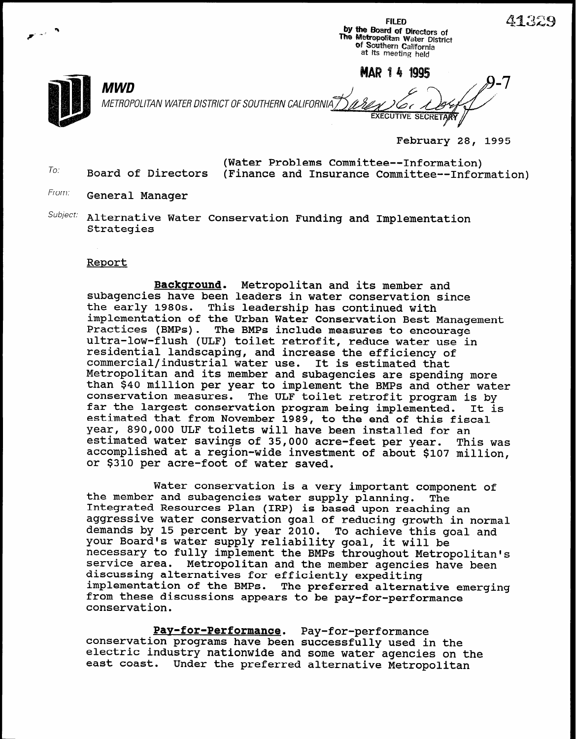a by the Board of Directors of  $\overline{\phantom{a}}$  $\blacktriangleright$ me Metropolitan Water District of Southern California at its meeting held  $MWD$ METROPOLITAN WATER DlSTRlCT OF SOUTHERN CALIFORN **EXECUTIVE SECRETAR** 

February 28, 1995

FILED  $41329$ 

- (Water Problems Committee--Information) To: Board of Directors (Finance and Insurance Committee--Information)
- From: General Manager
- Subject: Alternative Water Conservation Funding and Implementation **Strategies**

## Report

Background. Metropolitan and its member and subagencies have been leaders in water conservation since the early 1980s. This leadership has continued with implementation of the Urban Water Conservation Best Management<br>Practices (BMPs). The BMPs include measures to encourage The BMPs include measures to encourage ultra-low-flush (ULF) toilet retrofit, reduce water use in residential landscaping, and increase the efficiency of commercial/industrial water use. It is estimated that Metropolitan and its member and subagencies are spending more than \$40 million per year to implement the BMPs and other water conservation measures. The ULF toilet retrofit program is by far the largest conservation program being implemented. It is estimated that from November 1989, to the end of this fiscal Year, 890,000 ULF toilets will have been installed for an estimated water savings of 35,000 acre-feet per year. This was accomplished at a region-wide investment of about \$107 million, or \$310 per acre-foot of water saved.

Water conservation is a very important component of the member and subagencies water supply planning. The Integrated Resources Plan (IRP) is based upon reaching an aggressive water conservation goal of reducing growth in normal demands by 15 percent by year 2010. To achieve this goal and your Board's water supply reliability goal, it will be necessary to fully implement the BMPs throughout Metropolitan's service area. Metropolitan and the member agencies have been discussing alternatives for efficiently expediting implementation of the BMPs. The preferred alternative emerging from these discussions appears to be pay-for-performance conservation.

Pay-for-Performance. Pay-for-performance conservation programs have been successfully used in the electric industry nationwide and some water agencies on the east coast. Under the preferred alternative Metropolitan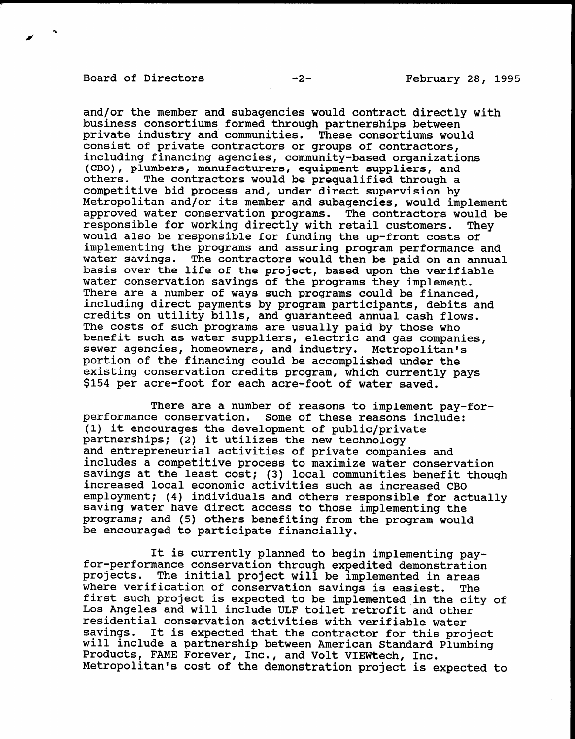## Board of Directors -2-<br>
-2-<br>
February 28, 1995

and/or the member and subagencies would contract directly with business consortiums formed through partnerships between private industry and communities. These consortiums would consist of private contractors or groups of contractors, including financing agencies, community-based organizations (CBO), plumbers, manufacturers, equipment suppliers, and others. The contractors would be prequalified through a competitive bid process and, under direct supervision by Metropolitan and/or its member and subagencies, would implement approved water conservation programs. The contractors would be responsible for working directly with retail customers. They would also be responsible for funding the up-front costs of implementing the programs and assuring program performance and water savings. The contractors would then be paid on an annual basis over the life of the project, based upon the verifiable water conservation savings of the programs they implement. There are a number of ways such programs could be financed, including direct payments by program participants, debits and credits on utility bills, and guaranteed annual cash flows. The costs of such programs are usually paid by those who benefit such as water suppliers, electric and gas companies, sewer agencies, homeowners, and industry. Metropolite power agencies, nomeowners, and industry. Metropolitan. portion of the financing could be accomplished under the existing conservation credits program, which current.

There are a number of reasons to implement pay-forperformance conservation. Some of these reasons included include: (1) it encourages the development of public/private  $(1)$  it encourages the development of public/private partnerships; (2) it utilizes the new technology and entrepreneurial activities of private companies and includes a competitive process to maximize water conservation savings at the least cost; (3) local communities benefit though increased local economic activities such as increased CBO employment; (4) individuals and others responsible for actually saving water have direct access to those implementing the programs; and (5) others benefiting from the program would be encouraged to participate financially.

It is contributed to begin implementing pay-dimensional pay-dimensional pay-dimensional pay-dimensional pay-dimensional pay-It is currently planned to begin implementing pa for-performance conservation through expedited demonstration projects. The initial project will be implemented in areas where verification of conservation savings is easiest. The first such project is expected to be implemented in the city of Los Angeles and will include ULF toilet retrofit and other residential conservation activities with verifiable water savings. It is expected that the contractor for this project will include a partnership between American Standard Plumbing Products, FAME Forever, Inc., and Volt VIEWtech, Inc.<br>Metropolitan's cost of the demonstration project is expected to